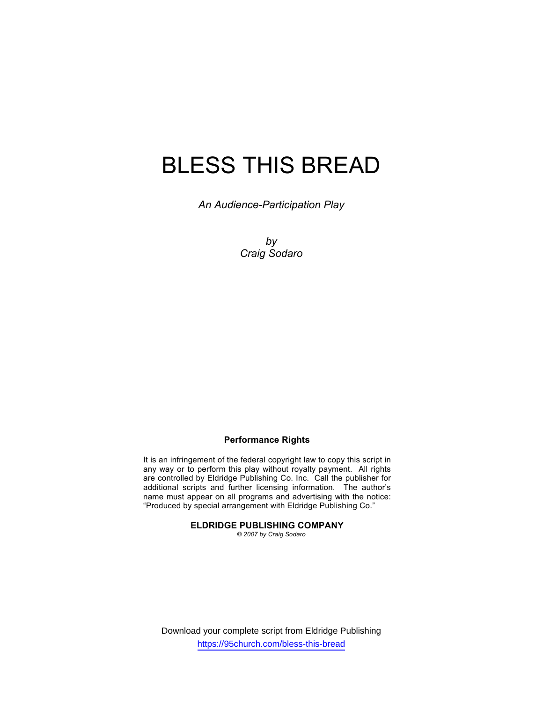# BLESS THIS BREAD

*An Audience-Participation Play* 

*by Craig Sodaro* 

# **Performance Rights**

It is an infringement of the federal copyright law to copy this script in any way or to perform this play without royalty payment. All rights are controlled by Eldridge Publishing Co. Inc. Call the publisher for additional scripts and further licensing information. The author's name must appear on all programs and advertising with the notice: "Produced by special arrangement with Eldridge Publishing Co."

## **ELDRIDGE PUBLISHING COMPANY**

*© 2007 by Craig Sodaro*

Download your complete script from Eldridge Publishing https://95church.com/bless-this-bread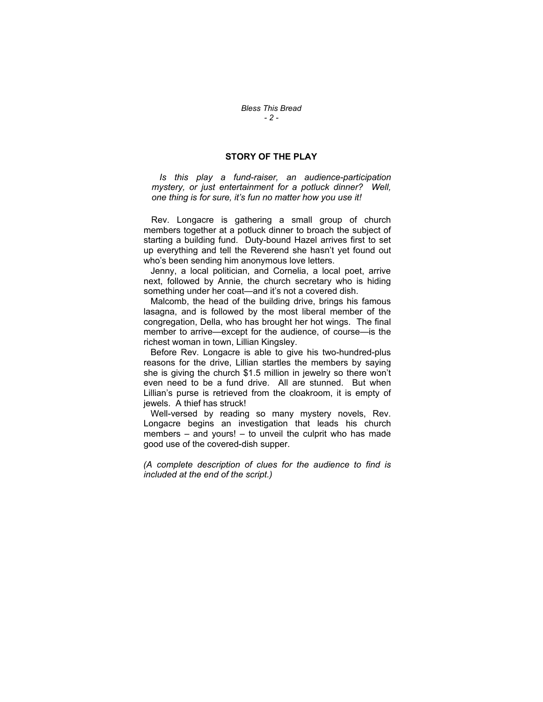## **STORY OF THE PLAY**

 *Is this play a fund-raiser, an audience-participation mystery, or just entertainment for a potluck dinner? Well, one thing is for sure, it's fun no matter how you use it!* 

 Rev. Longacre is gathering a small group of church members together at a potluck dinner to broach the subject of starting a building fund. Duty-bound Hazel arrives first to set up everything and tell the Reverend she hasn't yet found out who's been sending him anonymous love letters.

 Jenny, a local politician, and Cornelia, a local poet, arrive next, followed by Annie, the church secretary who is hiding something under her coat—and it's not a covered dish.

 Malcomb, the head of the building drive, brings his famous lasagna, and is followed by the most liberal member of the congregation, Della, who has brought her hot wings. The final member to arrive—except for the audience, of course—is the richest woman in town, Lillian Kingsley.

 Before Rev. Longacre is able to give his two-hundred-plus reasons for the drive, Lillian startles the members by saying she is giving the church \$1.5 million in jewelry so there won't even need to be a fund drive. All are stunned. But when Lillian's purse is retrieved from the cloakroom, it is empty of jewels. A thief has struck!

 Well-versed by reading so many mystery novels, Rev. Longacre begins an investigation that leads his church members – and yours! – to unveil the culprit who has made good use of the covered-dish supper.

*(A complete description of clues for the audience to find is included at the end of the script.)*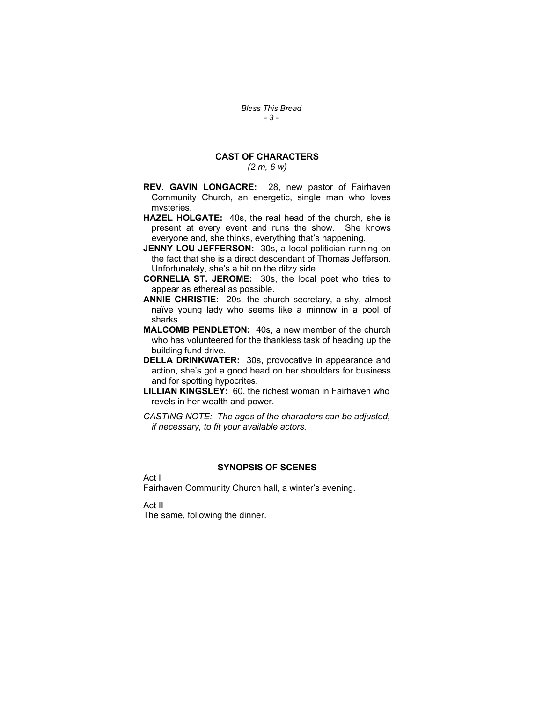# **CAST OF CHARACTERS**

*(2 m, 6 w)*

- **REV. GAVIN LONGACRE:** 28, new pastor of Fairhaven Community Church, an energetic, single man who loves mysteries.
- **HAZEL HOLGATE:** 40s, the real head of the church, she is present at every event and runs the show. She knows everyone and, she thinks, everything that's happening.
- **JENNY LOU JEFFERSON:** 30s, a local politician running on the fact that she is a direct descendant of Thomas Jefferson. Unfortunately, she's a bit on the ditzy side.
- **CORNELIA ST. JEROME:** 30s, the local poet who tries to appear as ethereal as possible.
- **ANNIE CHRISTIE:** 20s, the church secretary, a shy, almost naïve young lady who seems like a minnow in a pool of sharks.
- **MALCOMB PENDLETON:** 40s, a new member of the church who has volunteered for the thankless task of heading up the building fund drive.
- **DELLA DRINKWATER:** 30s, provocative in appearance and action, she's got a good head on her shoulders for business and for spotting hypocrites.
- **LILLIAN KINGSLEY:** 60, the richest woman in Fairhaven who revels in her wealth and power.
- *CASTING NOTE: The ages of the characters can be adjusted, if necessary, to fit your available actors.*

# **SYNOPSIS OF SCENES**

Act I

Fairhaven Community Church hall, a winter's evening.

Act II

The same, following the dinner.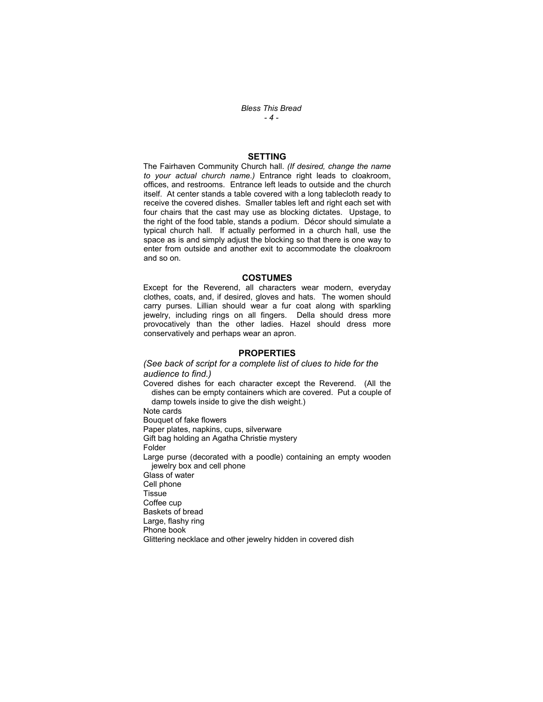*Bless This Bread - 4 -* 

#### **SETTING**

The Fairhaven Community Church hall. *(If desired, change the name to your actual church name.)* Entrance right leads to cloakroom, offices, and restrooms. Entrance left leads to outside and the church itself. At center stands a table covered with a long tablecloth ready to receive the covered dishes. Smaller tables left and right each set with four chairs that the cast may use as blocking dictates. Upstage, to the right of the food table, stands a podium. Décor should simulate a typical church hall. If actually performed in a church hall, use the space as is and simply adjust the blocking so that there is one way to enter from outside and another exit to accommodate the cloakroom and so on.

#### **COSTUMES**

Except for the Reverend, all characters wear modern, everyday clothes, coats, and, if desired, gloves and hats. The women should carry purses. Lillian should wear a fur coat along with sparkling jewelry, including rings on all fingers. Della should dress more provocatively than the other ladies. Hazel should dress more conservatively and perhaps wear an apron.

#### **PROPERTIES**

#### *(See back of script for a complete list of clues to hide for the audience to find.)*

Covered dishes for each character except the Reverend. (All the dishes can be empty containers which are covered. Put a couple of damp towels inside to give the dish weight.) Note cards Bouquet of fake flowers Paper plates, napkins, cups, silverware Gift bag holding an Agatha Christie mystery Folder Large purse (decorated with a poodle) containing an empty wooden jewelry box and cell phone Glass of water Cell phone Tissue Coffee cup Baskets of bread Large, flashy ring Phone book Glittering necklace and other jewelry hidden in covered dish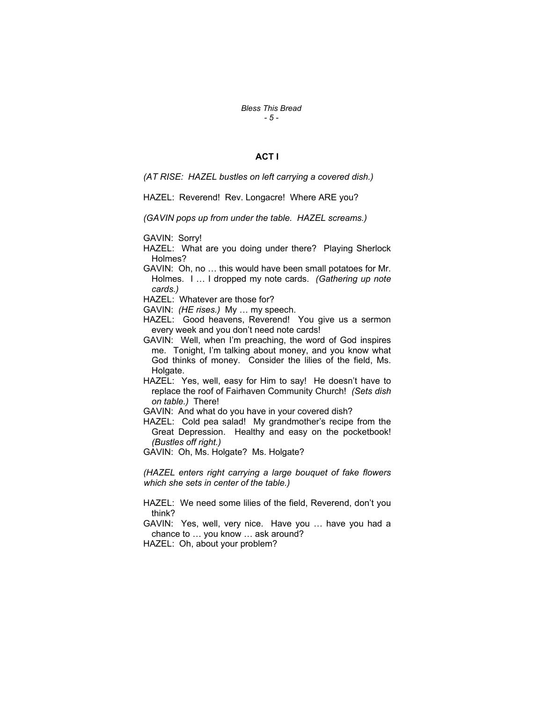*Bless This Bread - 5 -* 

## **ACT I**

*(AT RISE: HAZEL bustles on left carrying a covered dish.)* 

HAZEL: Reverend! Rev. Longacre! Where ARE you?

*(GAVIN pops up from under the table. HAZEL screams.)* 

GAVIN: Sorry!

- HAZEL: What are you doing under there? Playing Sherlock Holmes?
- GAVIN: Oh, no … this would have been small potatoes for Mr. Holmes. I … I dropped my note cards. *(Gathering up note cards.)*

HAZEL: Whatever are those for?

GAVIN: *(HE rises.)* My … my speech.

- HAZEL: Good heavens, Reverend! You give us a sermon every week and you don't need note cards!
- GAVIN: Well, when I'm preaching, the word of God inspires me. Tonight, I'm talking about money, and you know what God thinks of money. Consider the lilies of the field, Ms. Holgate.
- HAZEL: Yes, well, easy for Him to say! He doesn't have to replace the roof of Fairhaven Community Church! *(Sets dish on table.)* There!
- GAVIN: And what do you have in your covered dish?
- HAZEL: Cold pea salad! My grandmother's recipe from the Great Depression. Healthy and easy on the pocketbook! *(Bustles off right.)*

GAVIN: Oh, Ms. Holgate? Ms. Holgate?

*(HAZEL enters right carrying a large bouquet of fake flowers which she sets in center of the table.)* 

- HAZEL: We need some lilies of the field, Reverend, don't you think?
- GAVIN: Yes, well, very nice. Have you … have you had a chance to … you know … ask around?

HAZEL: Oh, about your problem?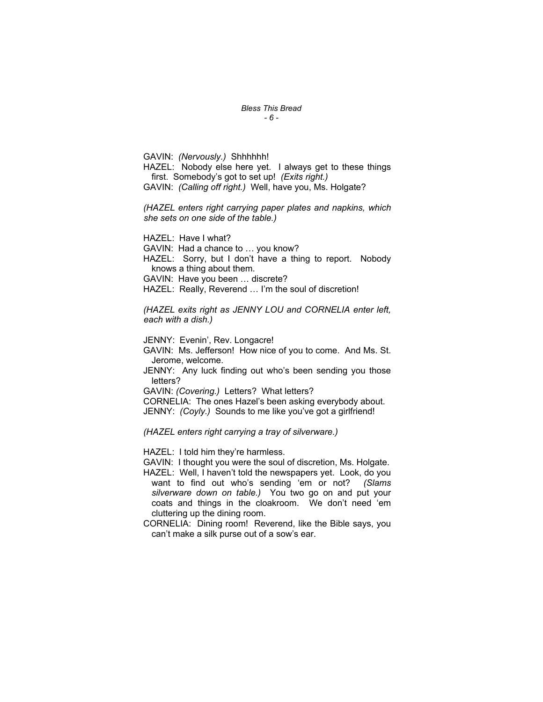#### *Bless This Bread - 6 -*

GAVIN: *(Nervously.)* Shhhhhh! HAZEL: Nobody else here yet. I always get to these things first. Somebody's got to set up! *(Exits right.)* GAVIN: *(Calling off right.)* Well, have you, Ms. Holgate?

*(HAZEL enters right carrying paper plates and napkins, which she sets on one side of the table.)* 

HAZEL: Have I what?

GAVIN: Had a chance to … you know?

HAZEL: Sorry, but I don't have a thing to report. Nobody knows a thing about them.

GAVIN: Have you been … discrete?

HAZEL: Really, Reverend … I'm the soul of discretion!

*(HAZEL exits right as JENNY LOU and CORNELIA enter left, each with a dish.)* 

JENNY: Evenin', Rev. Longacre!

GAVIN: Ms. Jefferson! How nice of you to come. And Ms. St. Jerome, welcome.

JENNY: Any luck finding out who's been sending you those letters?

GAVIN: *(Covering.)* Letters? What letters?

CORNELIA: The ones Hazel's been asking everybody about. JENNY: *(Coyly.)* Sounds to me like you've got a girlfriend!

*(HAZEL enters right carrying a tray of silverware.)* 

HAZEL: I told him they're harmless.

GAVIN: I thought you were the soul of discretion, Ms. Holgate.

- HAZEL: Well, I haven't told the newspapers yet. Look, do you want to find out who's sending 'em or not? *(Slams silverware down on table.)* You two go on and put your coats and things in the cloakroom. We don't need 'em cluttering up the dining room.
- CORNELIA: Dining room! Reverend, like the Bible says, you can't make a silk purse out of a sow's ear.